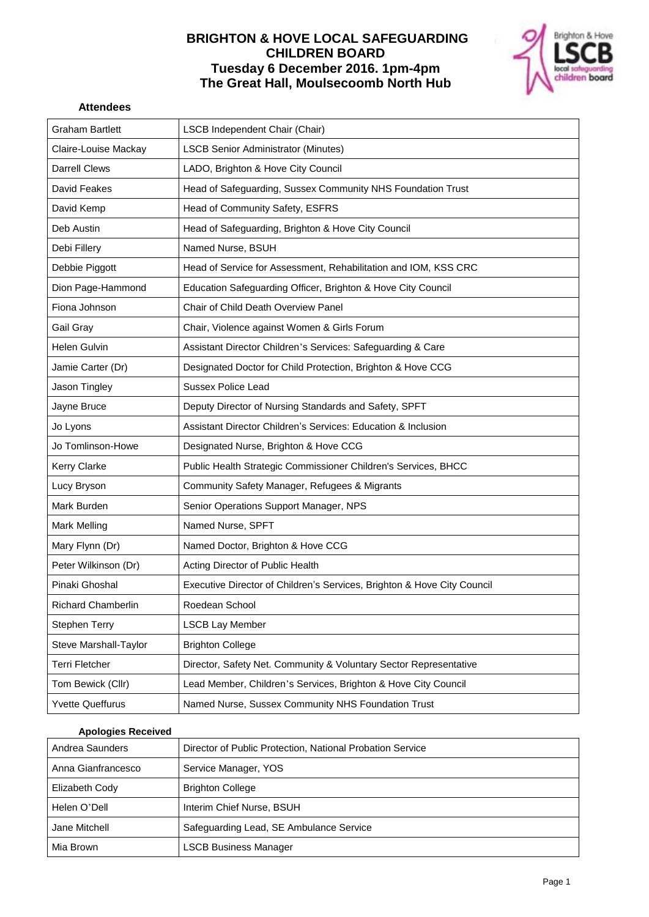# **BRIGHTON & HOVE LOCAL SAFEGUARDING CHILDREN BOARD Tuesday 6 December 2016. 1pm-4pm The Great Hall, Moulsecoomb North Hub**



#### **Attendees**

| <b>Graham Bartlett</b>    | LSCB Independent Chair (Chair)                                          |
|---------------------------|-------------------------------------------------------------------------|
| Claire-Louise Mackay      | <b>LSCB Senior Administrator (Minutes)</b>                              |
| <b>Darrell Clews</b>      | LADO, Brighton & Hove City Council                                      |
| David Feakes              | Head of Safeguarding, Sussex Community NHS Foundation Trust             |
| David Kemp                | Head of Community Safety, ESFRS                                         |
| Deb Austin                | Head of Safeguarding, Brighton & Hove City Council                      |
| Debi Fillery              | Named Nurse, BSUH                                                       |
| Debbie Piggott            | Head of Service for Assessment, Rehabilitation and IOM, KSS CRC         |
| Dion Page-Hammond         | Education Safeguarding Officer, Brighton & Hove City Council            |
| Fiona Johnson             | Chair of Child Death Overview Panel                                     |
| Gail Gray                 | Chair, Violence against Women & Girls Forum                             |
| Helen Gulvin              | Assistant Director Children's Services: Safeguarding & Care             |
| Jamie Carter (Dr)         | Designated Doctor for Child Protection, Brighton & Hove CCG             |
| Jason Tingley             | <b>Sussex Police Lead</b>                                               |
| Jayne Bruce               | Deputy Director of Nursing Standards and Safety, SPFT                   |
| Jo Lyons                  | Assistant Director Children's Services: Education & Inclusion           |
| Jo Tomlinson-Howe         | Designated Nurse, Brighton & Hove CCG                                   |
| <b>Kerry Clarke</b>       | Public Health Strategic Commissioner Children's Services, BHCC          |
| Lucy Bryson               | Community Safety Manager, Refugees & Migrants                           |
| Mark Burden               | Senior Operations Support Manager, NPS                                  |
| Mark Melling              | Named Nurse, SPFT                                                       |
| Mary Flynn (Dr)           | Named Doctor, Brighton & Hove CCG                                       |
| Peter Wilkinson (Dr)      | Acting Director of Public Health                                        |
| Pinaki Ghoshal            | Executive Director of Children's Services, Brighton & Hove City Council |
| <b>Richard Chamberlin</b> | Roedean School                                                          |
| <b>Stephen Terry</b>      | <b>LSCB Lay Member</b>                                                  |
| Steve Marshall-Taylor     | <b>Brighton College</b>                                                 |
| <b>Terri Fletcher</b>     | Director, Safety Net. Community & Voluntary Sector Representative       |
| Tom Bewick (Cllr)         | Lead Member, Children's Services, Brighton & Hove City Council          |
| <b>Yvette Queffurus</b>   | Named Nurse, Sussex Community NHS Foundation Trust                      |

#### **Apologies Received**

| Andrea Saunders    | Director of Public Protection, National Probation Service |
|--------------------|-----------------------------------------------------------|
| Anna Gianfrancesco | Service Manager, YOS                                      |
| Elizabeth Cody     | <b>Brighton College</b>                                   |
| Helen O'Dell       | Interim Chief Nurse, BSUH                                 |
| Jane Mitchell      | Safeguarding Lead, SE Ambulance Service                   |
| Mia Brown          | <b>LSCB Business Manager</b>                              |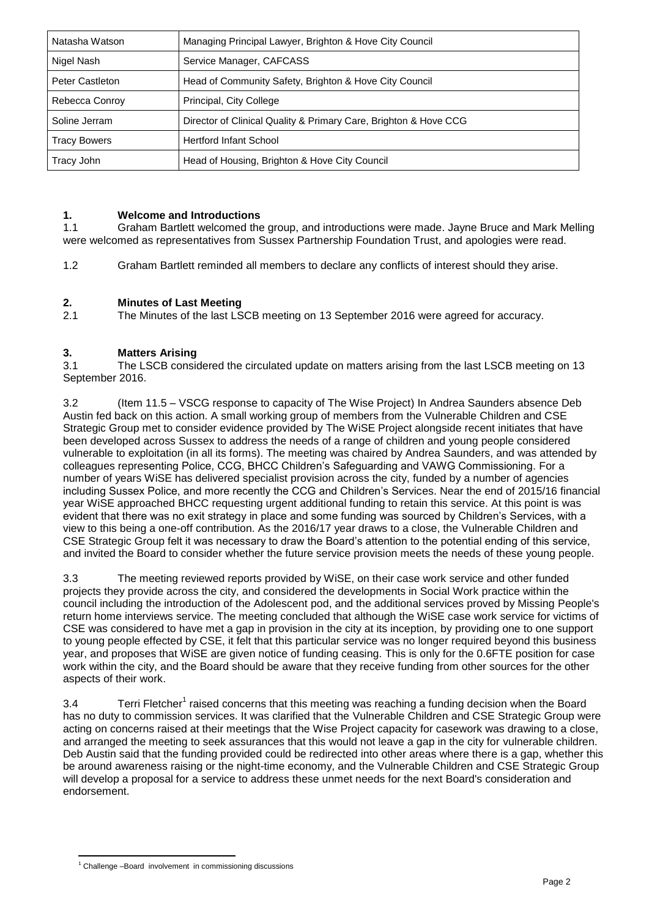| Natasha Watson         | Managing Principal Lawyer, Brighton & Hove City Council          |
|------------------------|------------------------------------------------------------------|
| Nigel Nash             | Service Manager, CAFCASS                                         |
| <b>Peter Castleton</b> | Head of Community Safety, Brighton & Hove City Council           |
| Rebecca Conroy         | Principal, City College                                          |
| Soline Jerram          | Director of Clinical Quality & Primary Care, Brighton & Hove CCG |
| Tracy Bowers           | <b>Hertford Infant School</b>                                    |
| Tracy John             | Head of Housing, Brighton & Hove City Council                    |

#### **1. Welcome and Introductions**

1.1 Graham Bartlett welcomed the group, and introductions were made. Jayne Bruce and Mark Melling were welcomed as representatives from Sussex Partnership Foundation Trust, and apologies were read.

1.2 Graham Bartlett reminded all members to declare any conflicts of interest should they arise.

# **2. Minutes of Last Meeting**

2.1 The Minutes of the last LSCB meeting on 13 September 2016 were agreed for accuracy.

# **3. Matters Arising**

3.1 The LSCB considered the circulated update on matters arising from the last LSCB meeting on 13 September 2016.

3.2 (Item 11.5 – VSCG response to capacity of The Wise Project) In Andrea Saunders absence Deb Austin fed back on this action. A small working group of members from the Vulnerable Children and CSE Strategic Group met to consider evidence provided by The WiSE Project alongside recent initiates that have been developed across Sussex to address the needs of a range of children and young people considered vulnerable to exploitation (in all its forms). The meeting was chaired by Andrea Saunders, and was attended by colleagues representing Police, CCG, BHCC Children's Safeguarding and VAWG Commissioning. For a number of years WiSE has delivered specialist provision across the city, funded by a number of agencies including Sussex Police, and more recently the CCG and Children's Services. Near the end of 2015/16 financial year WiSE approached BHCC requesting urgent additional funding to retain this service. At this point is was evident that there was no exit strategy in place and some funding was sourced by Children's Services, with a view to this being a one-off contribution. As the 2016/17 year draws to a close, the Vulnerable Children and CSE Strategic Group felt it was necessary to draw the Board's attention to the potential ending of this service, and invited the Board to consider whether the future service provision meets the needs of these young people.

3.3 The meeting reviewed reports provided by WiSE, on their case work service and other funded projects they provide across the city, and considered the developments in Social Work practice within the council including the introduction of the Adolescent pod, and the additional services proved by Missing People's return home interviews service. The meeting concluded that although the WiSE case work service for victims of CSE was considered to have met a gap in provision in the city at its inception, by providing one to one support to young people effected by CSE, it felt that this particular service was no longer required beyond this business year, and proposes that WiSE are given notice of funding ceasing. This is only for the 0.6FTE position for case work within the city, and the Board should be aware that they receive funding from other sources for the other aspects of their work.

3.4 Terri Fletcher<sup>1</sup> raised concerns that this meeting was reaching a funding decision when the Board has no duty to commission services. It was clarified that the Vulnerable Children and CSE Strategic Group were acting on concerns raised at their meetings that the Wise Project capacity for casework was drawing to a close, and arranged the meeting to seek assurances that this would not leave a gap in the city for vulnerable children. Deb Austin said that the funding provided could be redirected into other areas where there is a gap, whether this be around awareness raising or the night-time economy, and the Vulnerable Children and CSE Strategic Group will develop a proposal for a service to address these unmet needs for the next Board's consideration and endorsement.

<sup>1</sup>  $1$  Challenge –Board involvement in commissioning discussions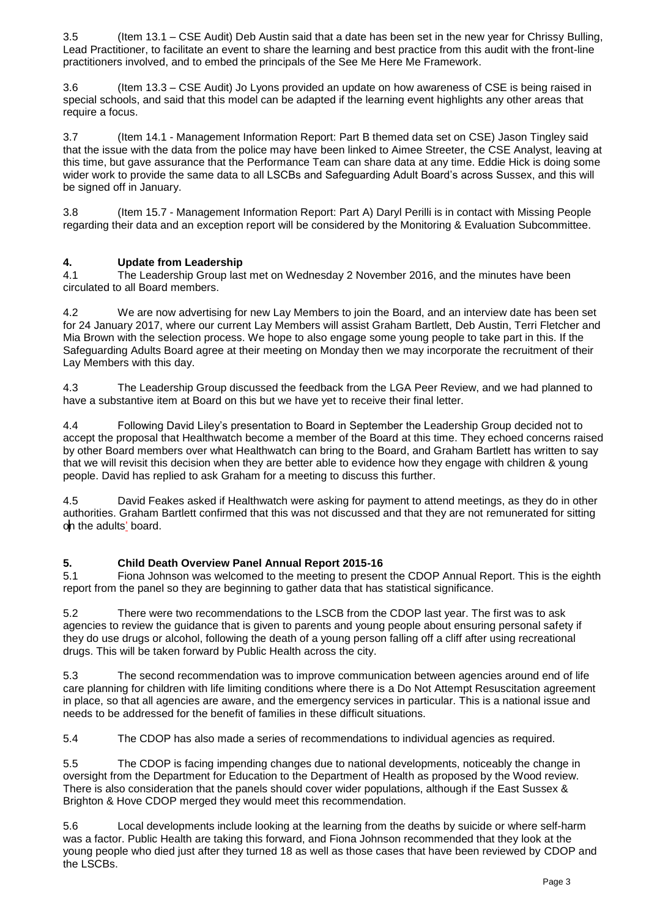3.5 (Item 13.1 – CSE Audit) Deb Austin said that a date has been set in the new year for Chrissy Bulling, Lead Practitioner, to facilitate an event to share the learning and best practice from this audit with the front-line practitioners involved, and to embed the principals of the See Me Here Me Framework.

3.6 (Item 13.3 – CSE Audit) Jo Lyons provided an update on how awareness of CSE is being raised in special schools, and said that this model can be adapted if the learning event highlights any other areas that require a focus.

3.7 (Item 14.1 - Management Information Report: Part B themed data set on CSE) Jason Tingley said that the issue with the data from the police may have been linked to Aimee Streeter, the CSE Analyst, leaving at this time, but gave assurance that the Performance Team can share data at any time. Eddie Hick is doing some wider work to provide the same data to all LSCBs and Safeguarding Adult Board's across Sussex, and this will be signed off in January.

3.8 (Item 15.7 - Management Information Report: Part A) Daryl Perilli is in contact with Missing People regarding their data and an exception report will be considered by the Monitoring & Evaluation Subcommittee.

# **4. Update from Leadership**

4.1 The Leadership Group last met on Wednesday 2 November 2016, and the minutes have been circulated to all Board members.

4.2 We are now advertising for new Lay Members to join the Board, and an interview date has been set for 24 January 2017, where our current Lay Members will assist Graham Bartlett, Deb Austin, Terri Fletcher and Mia Brown with the selection process. We hope to also engage some young people to take part in this. If the Safeguarding Adults Board agree at their meeting on Monday then we may incorporate the recruitment of their Lay Members with this day.

4.3 The Leadership Group discussed the feedback from the LGA Peer Review, and we had planned to have a substantive item at Board on this but we have yet to receive their final letter.

4.4 Following David Liley's presentation to Board in September the Leadership Group decided not to accept the proposal that Healthwatch become a member of the Board at this time. They echoed concerns raised by other Board members over what Healthwatch can bring to the Board, and Graham Bartlett has written to say that we will revisit this decision when they are better able to evidence how they engage with children & young people. David has replied to ask Graham for a meeting to discuss this further.

4.5 David Feakes asked if Healthwatch were asking for payment to attend meetings, as they do in other authorities. Graham Bartlett confirmed that this was not discussed and that they are not remunerated for sitting on the adults' board.

#### **5. Child Death Overview Panel Annual Report 2015-16**

5.1 Fiona Johnson was welcomed to the meeting to present the CDOP Annual Report. This is the eighth report from the panel so they are beginning to gather data that has statistical significance.

5.2 There were two recommendations to the LSCB from the CDOP last year. The first was to ask agencies to review the guidance that is given to parents and young people about ensuring personal safety if they do use drugs or alcohol, following the death of a young person falling off a cliff after using recreational drugs. This will be taken forward by Public Health across the city.

5.3 The second recommendation was to improve communication between agencies around end of life care planning for children with life limiting conditions where there is a Do Not Attempt Resuscitation agreement in place, so that all agencies are aware, and the emergency services in particular. This is a national issue and needs to be addressed for the benefit of families in these difficult situations.

5.4 The CDOP has also made a series of recommendations to individual agencies as required.

5.5 The CDOP is facing impending changes due to national developments, noticeably the change in oversight from the Department for Education to the Department of Health as proposed by the Wood review. There is also consideration that the panels should cover wider populations, although if the East Sussex & Brighton & Hove CDOP merged they would meet this recommendation.

5.6 Local developments include looking at the learning from the deaths by suicide or where self-harm was a factor. Public Health are taking this forward, and Fiona Johnson recommended that they look at the young people who died just after they turned 18 as well as those cases that have been reviewed by CDOP and the LSCBs.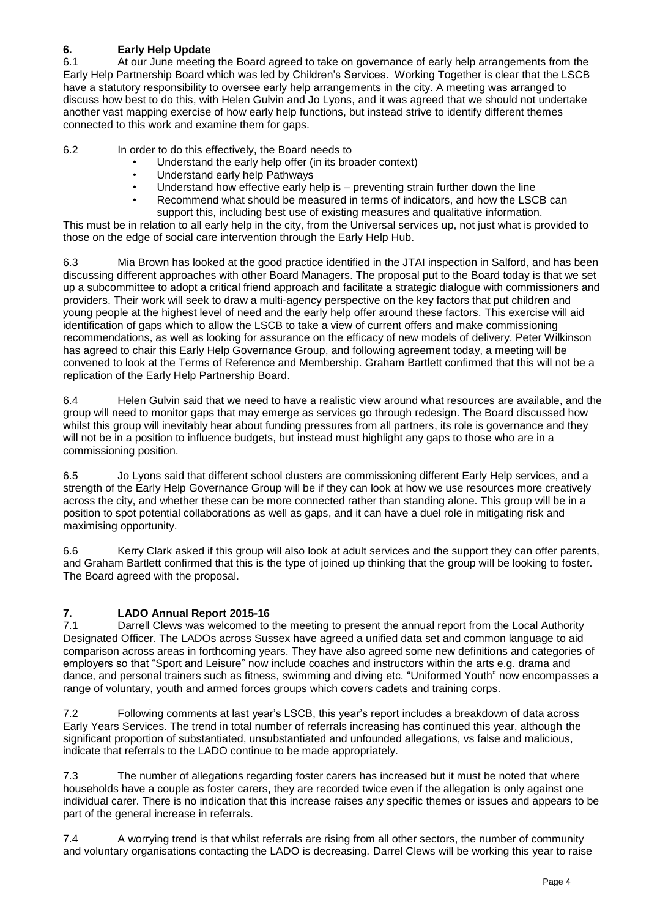# **6. Early Help Update**

6.1 At our June meeting the Board agreed to take on governance of early help arrangements from the Early Help Partnership Board which was led by Children's Services. Working Together is clear that the LSCB have a statutory responsibility to oversee early help arrangements in the city. A meeting was arranged to discuss how best to do this, with Helen Gulvin and Jo Lyons, and it was agreed that we should not undertake another vast mapping exercise of how early help functions, but instead strive to identify different themes connected to this work and examine them for gaps.

6.2 In order to do this effectively, the Board needs to

- Understand the early help offer (in its broader context)
- Understand early help Pathways
- Understand how effective early help is preventing strain further down the line
- Recommend what should be measured in terms of indicators, and how the LSCB can support this, including best use of existing measures and qualitative information.

This must be in relation to all early help in the city, from the Universal services up, not just what is provided to those on the edge of social care intervention through the Early Help Hub.

6.3 Mia Brown has looked at the good practice identified in the JTAI inspection in Salford, and has been discussing different approaches with other Board Managers. The proposal put to the Board today is that we set up a subcommittee to adopt a critical friend approach and facilitate a strategic dialogue with commissioners and providers. Their work will seek to draw a multi-agency perspective on the key factors that put children and young people at the highest level of need and the early help offer around these factors. This exercise will aid identification of gaps which to allow the LSCB to take a view of current offers and make commissioning recommendations, as well as looking for assurance on the efficacy of new models of delivery. Peter Wilkinson has agreed to chair this Early Help Governance Group, and following agreement today, a meeting will be convened to look at the Terms of Reference and Membership. Graham Bartlett confirmed that this will not be a replication of the Early Help Partnership Board.

6.4 Helen Gulvin said that we need to have a realistic view around what resources are available, and the group will need to monitor gaps that may emerge as services go through redesign. The Board discussed how whilst this group will inevitably hear about funding pressures from all partners, its role is governance and they will not be in a position to influence budgets, but instead must highlight any gaps to those who are in a commissioning position.

6.5 Jo Lyons said that different school clusters are commissioning different Early Help services, and a strength of the Early Help Governance Group will be if they can look at how we use resources more creatively across the city, and whether these can be more connected rather than standing alone. This group will be in a position to spot potential collaborations as well as gaps, and it can have a duel role in mitigating risk and maximising opportunity.

6.6 Kerry Clark asked if this group will also look at adult services and the support they can offer parents, and Graham Bartlett confirmed that this is the type of joined up thinking that the group will be looking to foster. The Board agreed with the proposal.

# **7. LADO Annual Report 2015-16**

7.1 Darrell Clews was welcomed to the meeting to present the annual report from the Local Authority Designated Officer. The LADOs across Sussex have agreed a unified data set and common language to aid comparison across areas in forthcoming years. They have also agreed some new definitions and categories of employers so that "Sport and Leisure" now include coaches and instructors within the arts e.g. drama and dance, and personal trainers such as fitness, swimming and diving etc. "Uniformed Youth" now encompasses a range of voluntary, youth and armed forces groups which covers cadets and training corps.

7.2 Following comments at last year's LSCB, this year's report includes a breakdown of data across Early Years Services. The trend in total number of referrals increasing has continued this year, although the significant proportion of substantiated, unsubstantiated and unfounded allegations, vs false and malicious, indicate that referrals to the LADO continue to be made appropriately.

7.3 The number of allegations regarding foster carers has increased but it must be noted that where households have a couple as foster carers, they are recorded twice even if the allegation is only against one individual carer. There is no indication that this increase raises any specific themes or issues and appears to be part of the general increase in referrals.

7.4 A worrying trend is that whilst referrals are rising from all other sectors, the number of community and voluntary organisations contacting the LADO is decreasing. Darrel Clews will be working this year to raise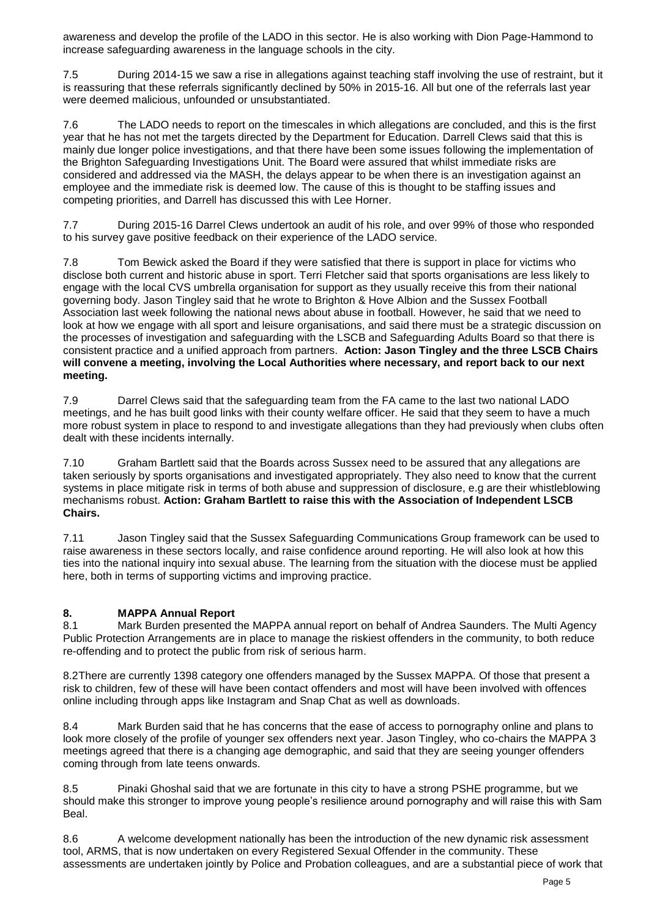awareness and develop the profile of the LADO in this sector. He is also working with Dion Page-Hammond to increase safeguarding awareness in the language schools in the city.

7.5 During 2014-15 we saw a rise in allegations against teaching staff involving the use of restraint, but it is reassuring that these referrals significantly declined by 50% in 2015-16. All but one of the referrals last year were deemed malicious, unfounded or unsubstantiated.

7.6 The LADO needs to report on the timescales in which allegations are concluded, and this is the first year that he has not met the targets directed by the Department for Education. Darrell Clews said that this is mainly due longer police investigations, and that there have been some issues following the implementation of the Brighton Safeguarding Investigations Unit. The Board were assured that whilst immediate risks are considered and addressed via the MASH, the delays appear to be when there is an investigation against an employee and the immediate risk is deemed low. The cause of this is thought to be staffing issues and competing priorities, and Darrell has discussed this with Lee Horner.

7.7 During 2015-16 Darrel Clews undertook an audit of his role, and over 99% of those who responded to his survey gave positive feedback on their experience of the LADO service.

7.8 Tom Bewick asked the Board if they were satisfied that there is support in place for victims who disclose both current and historic abuse in sport. Terri Fletcher said that sports organisations are less likely to engage with the local CVS umbrella organisation for support as they usually receive this from their national governing body. Jason Tingley said that he wrote to Brighton & Hove Albion and the Sussex Football Association last week following the national news about abuse in football. However, he said that we need to look at how we engage with all sport and leisure organisations, and said there must be a strategic discussion on the processes of investigation and safeguarding with the LSCB and Safeguarding Adults Board so that there is consistent practice and a unified approach from partners. **Action: Jason Tingley and the three LSCB Chairs will convene a meeting, involving the Local Authorities where necessary, and report back to our next meeting.** 

7.9 Darrel Clews said that the safeguarding team from the FA came to the last two national LADO meetings, and he has built good links with their county welfare officer. He said that they seem to have a much more robust system in place to respond to and investigate allegations than they had previously when clubs often dealt with these incidents internally.

7.10 Graham Bartlett said that the Boards across Sussex need to be assured that any allegations are taken seriously by sports organisations and investigated appropriately. They also need to know that the current systems in place mitigate risk in terms of both abuse and suppression of disclosure, e.g are their whistleblowing mechanisms robust. **Action: Graham Bartlett to raise this with the Association of Independent LSCB Chairs.** 

7.11 Jason Tingley said that the Sussex Safeguarding Communications Group framework can be used to raise awareness in these sectors locally, and raise confidence around reporting. He will also look at how this ties into the national inquiry into sexual abuse. The learning from the situation with the diocese must be applied here, both in terms of supporting victims and improving practice.

# **8. MAPPA Annual Report**

8.1 Mark Burden presented the MAPPA annual report on behalf of Andrea Saunders. The Multi Agency Public Protection Arrangements are in place to manage the riskiest offenders in the community, to both reduce re-offending and to protect the public from risk of serious harm.

8.2There are currently 1398 category one offenders managed by the Sussex MAPPA. Of those that present a risk to children, few of these will have been contact offenders and most will have been involved with offences online including through apps like Instagram and Snap Chat as well as downloads.

8.4 Mark Burden said that he has concerns that the ease of access to pornography online and plans to look more closely of the profile of younger sex offenders next year. Jason Tingley, who co-chairs the MAPPA 3 meetings agreed that there is a changing age demographic, and said that they are seeing younger offenders coming through from late teens onwards.

8.5 Pinaki Ghoshal said that we are fortunate in this city to have a strong PSHE programme, but we should make this stronger to improve young people's resilience around pornography and will raise this with Sam Beal.

8.6 A welcome development nationally has been the introduction of the new dynamic risk assessment tool, ARMS, that is now undertaken on every Registered Sexual Offender in the community. These assessments are undertaken jointly by Police and Probation colleagues, and are a substantial piece of work that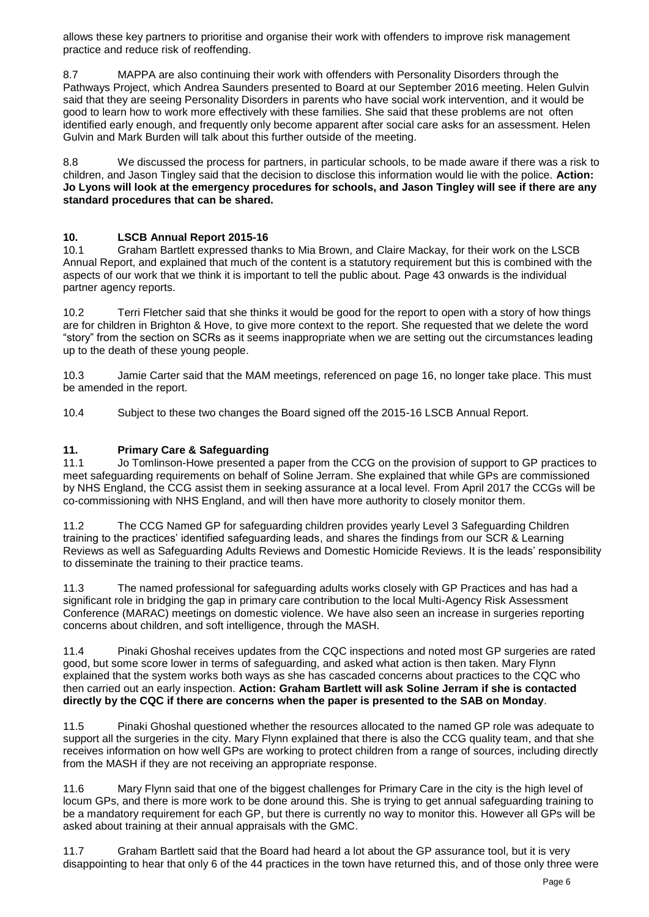allows these key partners to prioritise and organise their work with offenders to improve risk management practice and reduce risk of reoffending.

8.7 MAPPA are also continuing their work with offenders with Personality Disorders through the Pathways Project, which Andrea Saunders presented to Board at our September 2016 meeting. Helen Gulvin said that they are seeing Personality Disorders in parents who have social work intervention, and it would be good to learn how to work more effectively with these families. She said that these problems are not often identified early enough, and frequently only become apparent after social care asks for an assessment. Helen Gulvin and Mark Burden will talk about this further outside of the meeting.

8.8 We discussed the process for partners, in particular schools, to be made aware if there was a risk to children, and Jason Tingley said that the decision to disclose this information would lie with the police. **Action: Jo Lyons will look at the emergency procedures for schools, and Jason Tingley will see if there are any standard procedures that can be shared.** 

# **10. LSCB Annual Report 2015-16**

10.1 Graham Bartlett expressed thanks to Mia Brown, and Claire Mackay, for their work on the LSCB Annual Report, and explained that much of the content is a statutory requirement but this is combined with the aspects of our work that we think it is important to tell the public about. Page 43 onwards is the individual partner agency reports.

10.2 Terri Fletcher said that she thinks it would be good for the report to open with a story of how things are for children in Brighton & Hove, to give more context to the report. She requested that we delete the word "story" from the section on SCRs as it seems inappropriate when we are setting out the circumstances leading up to the death of these young people.

10.3 Jamie Carter said that the MAM meetings, referenced on page 16, no longer take place. This must be amended in the report.

10.4 Subject to these two changes the Board signed off the 2015-16 LSCB Annual Report.

# **11. Primary Care & Safeguarding**

11.1 Jo Tomlinson-Howe presented a paper from the CCG on the provision of support to GP practices to meet safeguarding requirements on behalf of Soline Jerram. She explained that while GPs are commissioned by NHS England, the CCG assist them in seeking assurance at a local level. From April 2017 the CCGs will be co-commissioning with NHS England, and will then have more authority to closely monitor them.

11.2 The CCG Named GP for safeguarding children provides yearly Level 3 Safeguarding Children training to the practices' identified safeguarding leads, and shares the findings from our SCR & Learning Reviews as well as Safeguarding Adults Reviews and Domestic Homicide Reviews. It is the leads' responsibility to disseminate the training to their practice teams.

11.3 The named professional for safeguarding adults works closely with GP Practices and has had a significant role in bridging the gap in primary care contribution to the local Multi-Agency Risk Assessment Conference (MARAC) meetings on domestic violence. We have also seen an increase in surgeries reporting concerns about children, and soft intelligence, through the MASH.

11.4 Pinaki Ghoshal receives updates from the CQC inspections and noted most GP surgeries are rated good, but some score lower in terms of safeguarding, and asked what action is then taken. Mary Flynn explained that the system works both ways as she has cascaded concerns about practices to the CQC who then carried out an early inspection. **Action: Graham Bartlett will ask Soline Jerram if she is contacted directly by the CQC if there are concerns when the paper is presented to the SAB on Monday**.

11.5 Pinaki Ghoshal questioned whether the resources allocated to the named GP role was adequate to support all the surgeries in the city. Mary Flynn explained that there is also the CCG quality team, and that she receives information on how well GPs are working to protect children from a range of sources, including directly from the MASH if they are not receiving an appropriate response.

11.6 Mary Flynn said that one of the biggest challenges for Primary Care in the city is the high level of locum GPs, and there is more work to be done around this. She is trying to get annual safeguarding training to be a mandatory requirement for each GP, but there is currently no way to monitor this. However all GPs will be asked about training at their annual appraisals with the GMC.

11.7 Graham Bartlett said that the Board had heard a lot about the GP assurance tool, but it is very disappointing to hear that only 6 of the 44 practices in the town have returned this, and of those only three were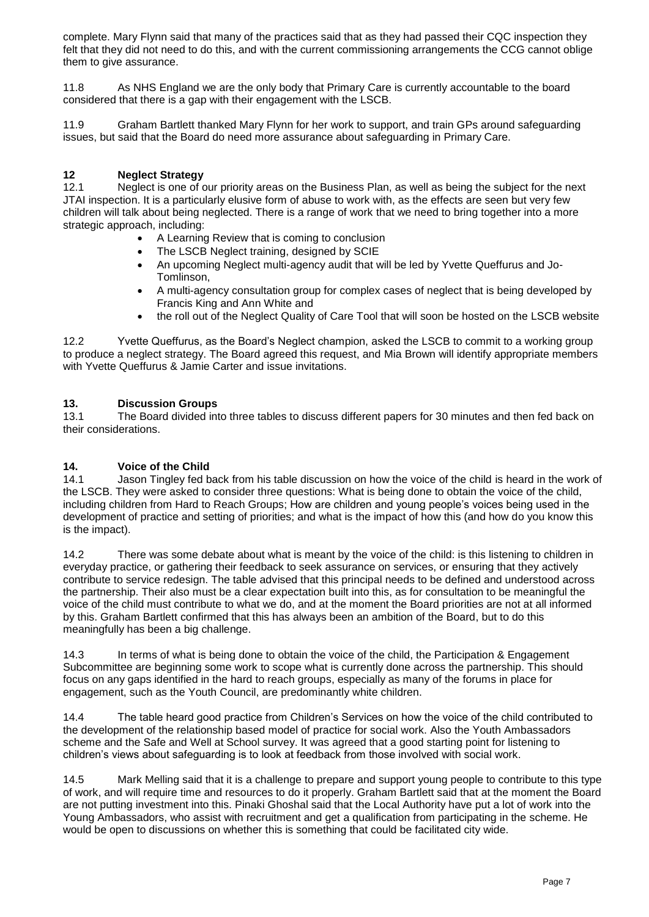complete. Mary Flynn said that many of the practices said that as they had passed their CQC inspection they felt that they did not need to do this, and with the current commissioning arrangements the CCG cannot oblige them to give assurance.

11.8 As NHS England we are the only body that Primary Care is currently accountable to the board considered that there is a gap with their engagement with the LSCB.

11.9 Graham Bartlett thanked Mary Flynn for her work to support, and train GPs around safeguarding issues, but said that the Board do need more assurance about safeguarding in Primary Care.

# **12 Neglect Strategy**

Neglect is one of our priority areas on the Business Plan, as well as being the subject for the next JTAI inspection. It is a particularly elusive form of abuse to work with, as the effects are seen but very few children will talk about being neglected. There is a range of work that we need to bring together into a more strategic approach, including:

- A Learning Review that is coming to conclusion
- The LSCB Neglect training, designed by SCIE
- An upcoming Neglect multi-agency audit that will be led by Yvette Queffurus and Jo-Tomlinson,
- A multi-agency consultation group for complex cases of neglect that is being developed by Francis King and Ann White and
- the roll out of the Neglect Quality of Care Tool that will soon be hosted on the LSCB website

12.2 Yvette Queffurus, as the Board's Neglect champion, asked the LSCB to commit to a working group to produce a neglect strategy. The Board agreed this request, and Mia Brown will identify appropriate members with Yvette Queffurus & Jamie Carter and issue invitations.

# **13. Discussion Groups**

13.1 The Board divided into three tables to discuss different papers for 30 minutes and then fed back on their considerations.

#### **14. Voice of the Child**

14.1 Jason Tingley fed back from his table discussion on how the voice of the child is heard in the work of the LSCB. They were asked to consider three questions: What is being done to obtain the voice of the child, including children from Hard to Reach Groups; How are children and young people's voices being used in the development of practice and setting of priorities; and what is the impact of how this (and how do you know this is the impact).

14.2 There was some debate about what is meant by the voice of the child: is this listening to children in everyday practice, or gathering their feedback to seek assurance on services, or ensuring that they actively contribute to service redesign. The table advised that this principal needs to be defined and understood across the partnership. Their also must be a clear expectation built into this, as for consultation to be meaningful the voice of the child must contribute to what we do, and at the moment the Board priorities are not at all informed by this. Graham Bartlett confirmed that this has always been an ambition of the Board, but to do this meaningfully has been a big challenge.

14.3 In terms of what is being done to obtain the voice of the child, the Participation & Engagement Subcommittee are beginning some work to scope what is currently done across the partnership. This should focus on any gaps identified in the hard to reach groups, especially as many of the forums in place for engagement, such as the Youth Council, are predominantly white children.

14.4 The table heard good practice from Children's Services on how the voice of the child contributed to the development of the relationship based model of practice for social work. Also the Youth Ambassadors scheme and the Safe and Well at School survey. It was agreed that a good starting point for listening to children's views about safeguarding is to look at feedback from those involved with social work.

14.5 Mark Melling said that it is a challenge to prepare and support young people to contribute to this type of work, and will require time and resources to do it properly. Graham Bartlett said that at the moment the Board are not putting investment into this. Pinaki Ghoshal said that the Local Authority have put a lot of work into the Young Ambassadors, who assist with recruitment and get a qualification from participating in the scheme. He would be open to discussions on whether this is something that could be facilitated city wide.